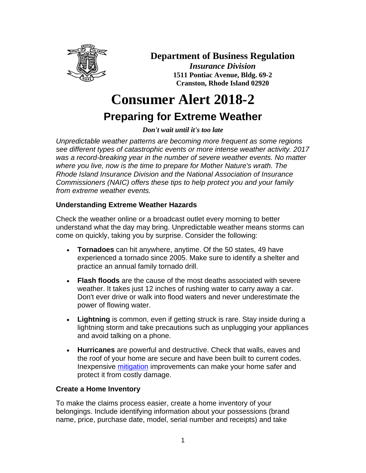

# **Department of Business Regulation**

*Insurance Division* **1511 Pontiac Avenue, Bldg. 69-2 Cranston, Rhode Island 02920**

# **Consumer Alert 2018-2 Preparing for Extreme Weather**

*Don't wait until it's too late*

*Unpredictable weather patterns are becoming more frequent as some regions see different types of catastrophic events or more intense weather activity. 2017 was a record-breaking year in the number of severe weather events. No matter where you live, now is the time to prepare for Mother Nature's wrath. The Rhode Island Insurance Division and the National Association of Insurance Commissioners (NAIC) offers these tips to help protect you and your family from extreme weather events.*

# **Understanding Extreme Weather Hazards**

Check the weather online or a broadcast outlet every morning to better understand what the day may bring. Unpredictable weather means storms can come on quickly, taking you by surprise. Consider the following:

- **Tornadoes** can hit anywhere, anytime. Of the 50 states, 49 have experienced a tornado since 2005. Make sure to identify a shelter and practice an annual family tornado drill.
- **Flash floods** are the cause of the most deaths associated with severe weather. It takes just 12 inches of rushing water to carry away a car. Don't ever drive or walk into flood waters and never underestimate the power of flowing water.
- **Lightning** is common, even if getting struck is rare. Stay inside during a lightning storm and take precautions such as unplugging your appliances and avoid talking on a phone.
- **Hurricanes** are powerful and destructive. Check that walls, eaves and the roof of your home are secure and have been built to current codes. Inexpensive [mitigation](https://www.fema.gov/what-mitigation) improvements can make your home safer and protect it from costly damage.

# **Create a Home Inventory**

To make the claims process easier, create a home inventory of your belongings. Include identifying information about your possessions (brand name, price, purchase date, model, serial number and receipts) and take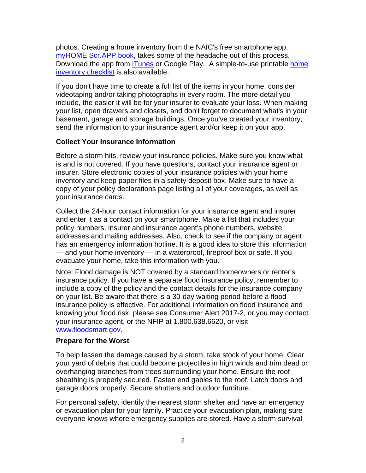photos. Creating a home inventory from the NAIC's free smartphone app, [myHOME Scr.APP.book,](https://itunes.apple.com/app/myhome-scr-app-book/id414273863?mt=8) takes some of the headache out of this process. Download the app from [iTunes](https://itunes.apple.com/app/myhome-scr-app-book/id414273863?mt=8) or Google Play. A simple-to-use printable home [inventory checklist](http://www.insureuonline.org/home_inventory_checklist.pdf) is also available.

If you don't have time to create a full list of the items in your home, consider videotaping and/or taking photographs in every room. The more detail you include, the easier it will be for your insurer to evaluate your loss. When making your list, open drawers and closets, and don't forget to document what's in your basement, garage and storage buildings. Once you've created your inventory, send the information to your insurance agent and/or keep it on your app.

### **Collect Your Insurance Information**

Before a storm hits, review your insurance policies. Make sure you know what is and is not covered. If you have questions, contact your insurance agent or insurer. Store electronic copies of your insurance policies with your home inventory and keep paper files in a safety deposit box. Make sure to have a copy of your policy declarations page listing all of your coverages, as well as your insurance cards.

Collect the 24-hour contact information for your insurance agent and insurer and enter it as a contact on your smartphone. Make a list that includes your policy numbers, insurer and insurance agent's phone numbers, website addresses and mailing addresses. Also, check to see if the company or agent has an emergency information hotline. It is a good idea to store this information — and your home inventory — in a waterproof, fireproof box or safe. If you evacuate your home, take this information with you.

Note: Flood damage is NOT covered by a standard homeowners or renter's insurance policy. If you have a separate flood insurance policy, remember to include a copy of the policy and the contact details for the insurance company on your list. Be aware that there is a 30-day waiting period before a flood insurance policy is effective. For additional information on flood insurance and knowing your flood risk, please see Consumer Alert 2017-2, or you may contact your insurance agent, or the NFIP at 1.800.638.6620, or visit [www.floodsmart.gov.](http://www.floodsmart.gov/)

#### **Prepare for the Worst**

To help lessen the damage caused by a storm, take stock of your home. Clear your yard of debris that could become projectiles in high winds and trim dead or overhanging branches from trees surrounding your home. Ensure the roof sheathing is properly secured. Fasten end gables to the roof. Latch doors and garage doors properly. Secure shutters and outdoor furniture.

For personal safety, identify the nearest storm shelter and have an emergency or evacuation plan for your family. Practice your evacuation plan, making sure everyone knows where emergency supplies are stored. Have a storm survival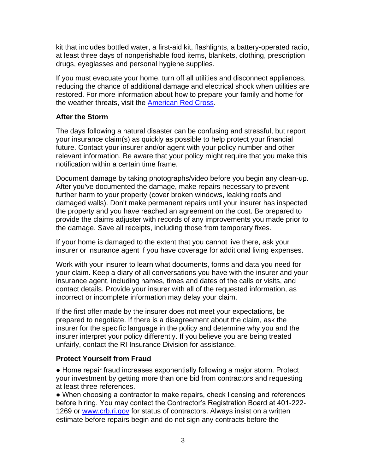kit that includes bottled water, a first-aid kit, flashlights, a battery-operated radio, at least three days of nonperishable food items, blankets, clothing, prescription drugs, eyeglasses and personal hygiene supplies.

If you must evacuate your home, turn off all utilities and disconnect appliances, reducing the chance of additional damage and electrical shock when utilities are restored. For more information about how to prepare your family and home for the weather threats, visit the [American Red Cross.](http://www.redcross.org/mo2)

### **After the Storm**

The days following a natural disaster can be confusing and stressful, but report your insurance claim(s) as quickly as possible to help protect your financial future. Contact your insurer and/or agent with your policy number and other relevant information. Be aware that your policy might require that you make this notification within a certain time frame.

Document damage by taking photographs/video before you begin any clean-up. After you've documented the damage, make repairs necessary to prevent further harm to your property (cover broken windows, leaking roofs and damaged walls). Don't make permanent repairs until your insurer has inspected the property and you have reached an agreement on the cost. Be prepared to provide the claims adjuster with records of any improvements you made prior to the damage. Save all receipts, including those from temporary fixes.

If your home is damaged to the extent that you cannot live there, ask your insurer or insurance agent if you have coverage for additional living expenses.

Work with your insurer to learn what documents, forms and data you need for your claim. Keep a diary of all conversations you have with the insurer and your insurance agent, including names, times and dates of the calls or visits, and contact details. Provide your insurer with all of the requested information, as incorrect or incomplete information may delay your claim.

If the first offer made by the insurer does not meet your expectations, be prepared to negotiate. If there is a disagreement about the claim, ask the insurer for the specific language in the policy and determine why you and the insurer interpret your policy differently. If you believe you are being treated unfairly, contact the RI Insurance Division for assistance.

#### **Protect Yourself from Fraud**

● Home repair fraud increases exponentially following a major storm. Protect your investment by getting more than one bid from contractors and requesting at least three references.

• When choosing a contractor to make repairs, check licensing and references before hiring. You may contact the Contractor's Registration Board at 401-222- 1269 or [www.crb.ri.gov](http://www.crb.ri.gov/) for status of contractors. Always insist on a written estimate before repairs begin and do not sign any contracts before the